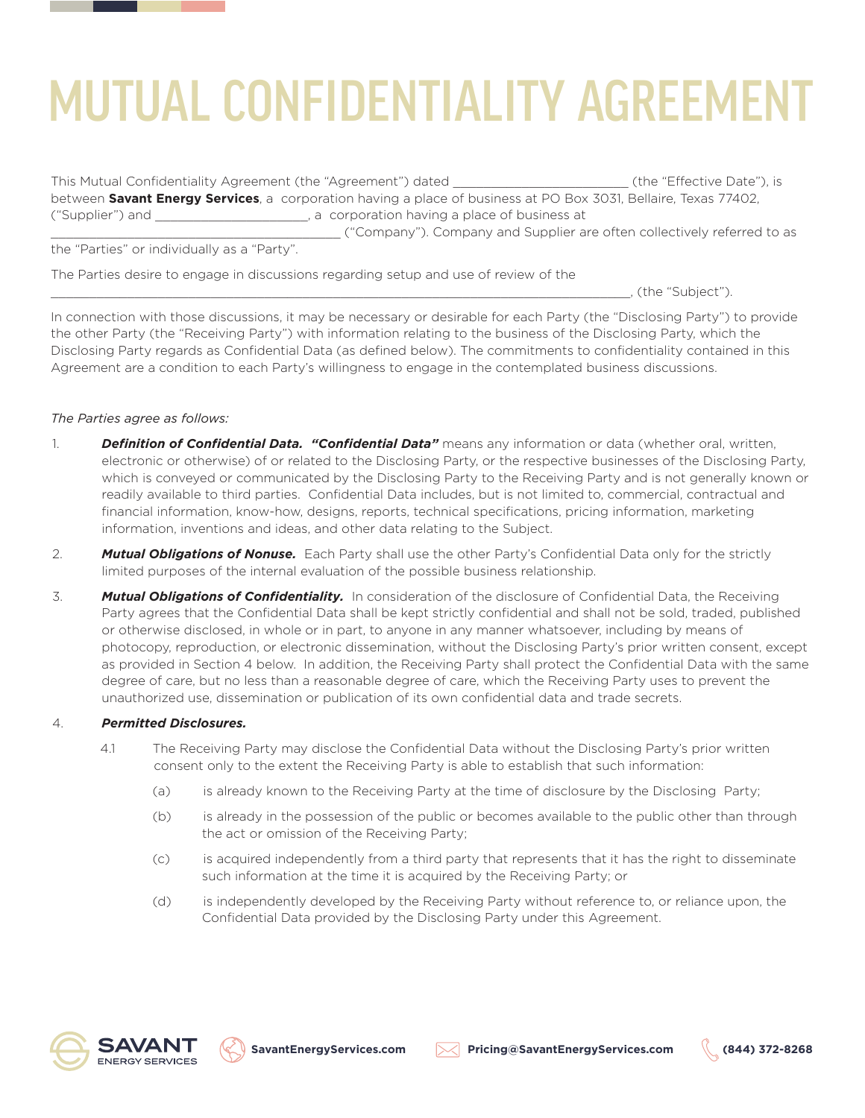This Mutual Confidentiality Agreement (the "Agreement") dated \_\_\_\_\_\_\_\_\_\_\_\_\_\_\_\_\_\_\_\_\_\_\_ (the "Effective Date"), is between **Savant Energy Services**, a corporation having a place of business at PO Box 3031, Bellaire, Texas 77402, ("Supplier") and \_\_\_\_\_\_\_\_\_\_\_\_\_\_\_\_\_\_\_\_, a corporation having a place of business at \_\_\_\_\_\_\_\_\_\_\_\_\_\_\_\_\_\_\_\_\_\_\_\_\_\_\_\_\_\_\_\_\_\_\_\_\_\_ ("Company"). Company and Supplier are often collectively referred to as

the "Parties" or individually as a "Party".

The Parties desire to engage in discussions regarding setup and use of review of the

\_\_\_\_\_\_\_\_\_\_\_\_\_\_\_\_\_\_\_\_\_\_\_\_\_\_\_\_\_\_\_\_\_\_\_\_\_\_\_\_\_\_\_\_\_\_\_\_\_\_\_\_\_\_\_\_\_\_\_\_\_\_\_\_\_\_\_\_\_\_\_\_\_\_\_\_, (the "Subject").

In connection with those discussions, it may be necessary or desirable for each Party (the "Disclosing Party") to provide the other Party (the "Receiving Party") with information relating to the business of the Disclosing Party, which the Disclosing Party regards as Confidential Data (as defined below). The commitments to confidentiality contained in this Agreement are a condition to each Party's willingness to engage in the contemplated business discussions.

## *The Parties agree as follows:*

- 1. *Definition of Confidential Data. "Confidential Data"* means any information or data (whether oral, written, electronic or otherwise) of or related to the Disclosing Party, or the respective businesses of the Disclosing Party, which is conveyed or communicated by the Disclosing Party to the Receiving Party and is not generally known or readily available to third parties. Confidential Data includes, but is not limited to, commercial, contractual and financial information, know-how, designs, reports, technical specifications, pricing information, marketing information, inventions and ideas, and other data relating to the Subject.
- 2. *Mutual Obligations of Nonuse.* Each Party shall use the other Party's Confidential Data only for the strictly limited purposes of the internal evaluation of the possible business relationship.
- 3. *Mutual Obligations of Confidentiality.* In consideration of the disclosure of Confidential Data, the Receiving Party agrees that the Confidential Data shall be kept strictly confidential and shall not be sold, traded, published or otherwise disclosed, in whole or in part, to anyone in any manner whatsoever, including by means of photocopy, reproduction, or electronic dissemination, without the Disclosing Party's prior written consent, except as provided in Section 4 below. In addition, the Receiving Party shall protect the Confidential Data with the same degree of care, but no less than a reasonable degree of care, which the Receiving Party uses to prevent the unauthorized use, dissemination or publication of its own confidential data and trade secrets.

### 4. *Permitted Disclosures.*

- 4.1 The Receiving Party may disclose the Confidential Data without the Disclosing Party's prior written consent only to the extent the Receiving Party is able to establish that such information:
	- (a) is already known to the Receiving Party at the time of disclosure by the Disclosing Party;
	- (b) is already in the possession of the public or becomes available to the public other than through the act or omission of the Receiving Party;
	- (c) is acquired independently from a third party that represents that it has the right to disseminate such information at the time it is acquired by the Receiving Party; or
	- (d) is independently developed by the Receiving Party without reference to, or reliance upon, the Confidential Data provided by the Disclosing Party under this Agreement.



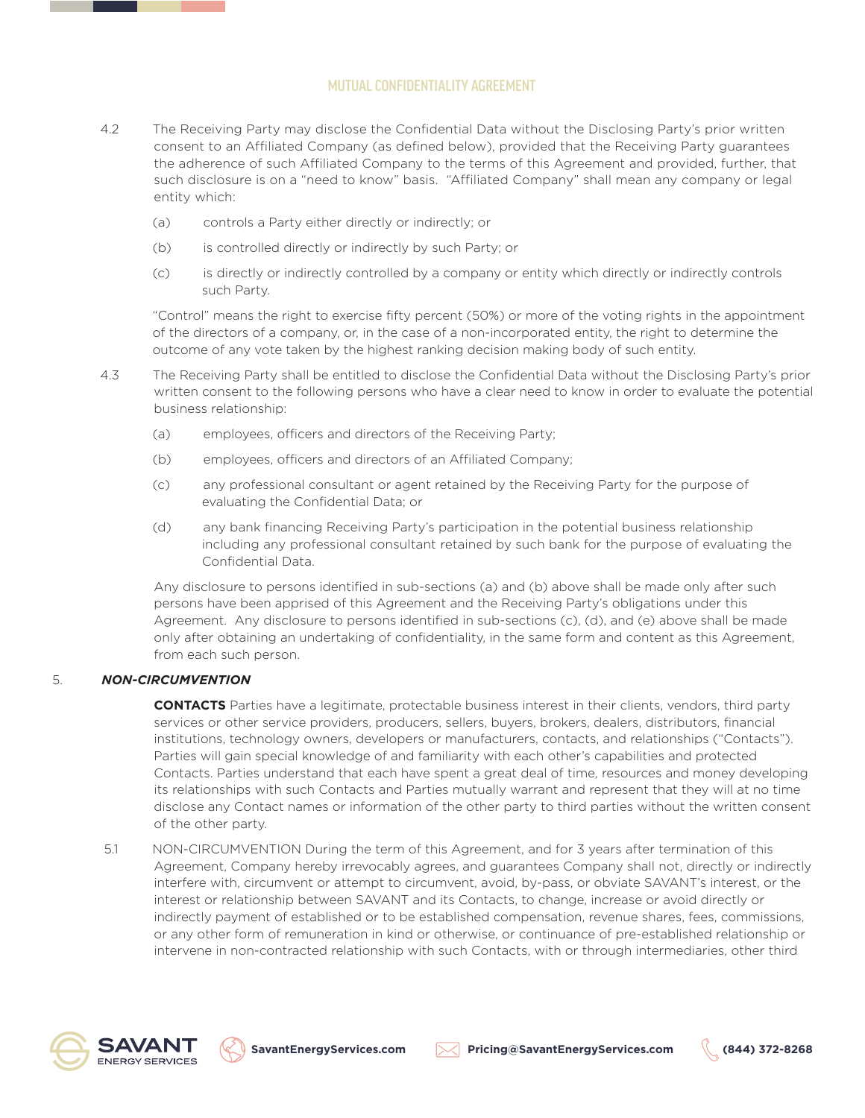- 4.2 The Receiving Party may disclose the Confidential Data without the Disclosing Party's prior written consent to an Affiliated Company (as defined below), provided that the Receiving Party guarantees the adherence of such Affiliated Company to the terms of this Agreement and provided, further, that such disclosure is on a "need to know" basis. "Affiliated Company" shall mean any company or legal entity which:
	- (a) controls a Party either directly or indirectly; or
	- (b) is controlled directly or indirectly by such Party; or
	- (c) is directly or indirectly controlled by a company or entity which directly or indirectly controls such Party.

"Control" means the right to exercise fifty percent (50%) or more of the voting rights in the appointment of the directors of a company, or, in the case of a non-incorporated entity, the right to determine the outcome of any vote taken by the highest ranking decision making body of such entity.

- 4.3 The Receiving Party shall be entitled to disclose the Confidential Data without the Disclosing Party's prior written consent to the following persons who have a clear need to know in order to evaluate the potential business relationship:
	- (a) employees, officers and directors of the Receiving Party;
	- (b) employees, officers and directors of an Affiliated Company;
	- (c) any professional consultant or agent retained by the Receiving Party for the purpose of evaluating the Confidential Data; or
	- (d) any bank financing Receiving Party's participation in the potential business relationship including any professional consultant retained by such bank for the purpose of evaluating the Confidential Data.

Any disclosure to persons identified in sub-sections (a) and (b) above shall be made only after such persons have been apprised of this Agreement and the Receiving Party's obligations under this Agreement. Any disclosure to persons identified in sub-sections (c), (d), and (e) above shall be made only after obtaining an undertaking of confidentiality, in the same form and content as this Agreement, from each such person.

### 5. *NON-CIRCUMVENTION*

**CONTACTS** Parties have a legitimate, protectable business interest in their clients, vendors, third party services or other service providers, producers, sellers, buyers, brokers, dealers, distributors, financial institutions, technology owners, developers or manufacturers, contacts, and relationships ("Contacts"). Parties will gain special knowledge of and familiarity with each other's capabilities and protected Contacts. Parties understand that each have spent a great deal of time, resources and money developing its relationships with such Contacts and Parties mutually warrant and represent that they will at no time disclose any Contact names or information of the other party to third parties without the written consent of the other party.

 5.1 NON-CIRCUMVENTION During the term of this Agreement, and for 3 years after termination of this Agreement, Company hereby irrevocably agrees, and guarantees Company shall not, directly or indirectly interfere with, circumvent or attempt to circumvent, avoid, by-pass, or obviate SAVANT's interest, or the interest or relationship between SAVANT and its Contacts, to change, increase or avoid directly or indirectly payment of established or to be established compensation, revenue shares, fees, commissions, or any other form of remuneration in kind or otherwise, or continuance of pre-established relationship or intervene in non-contracted relationship with such Contacts, with or through intermediaries, other third





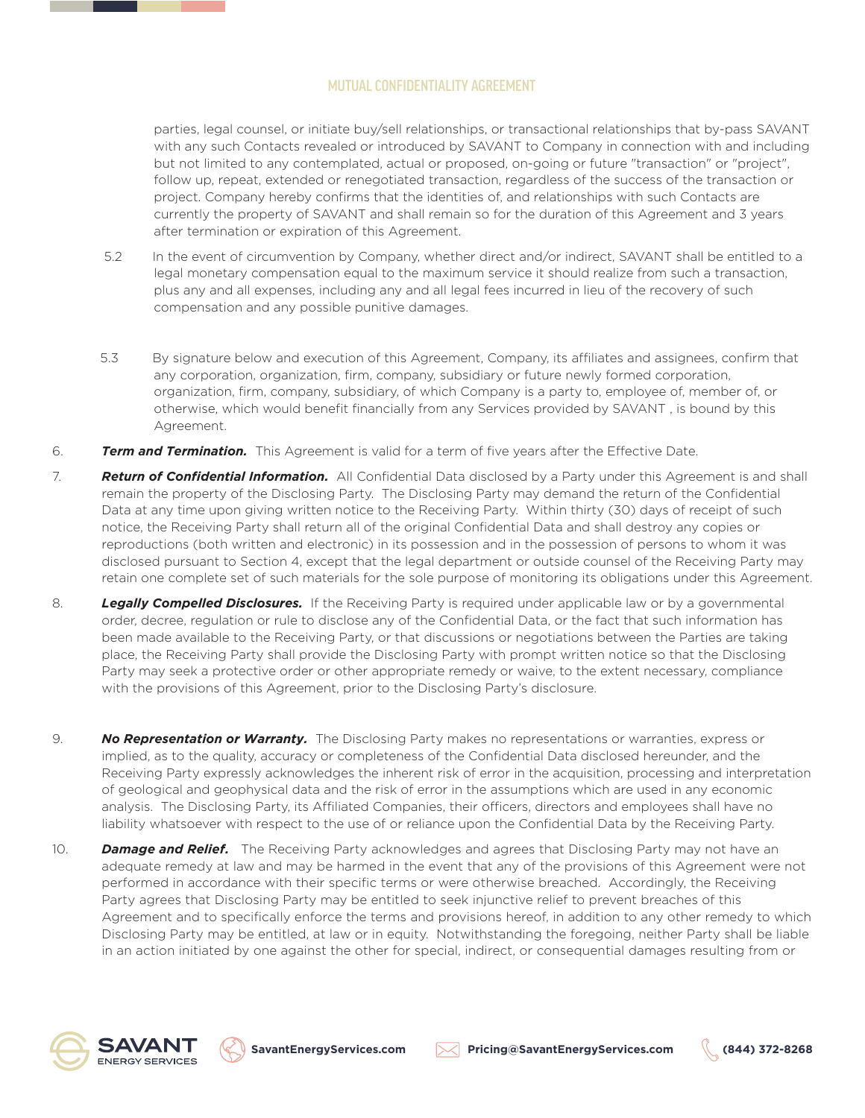parties, legal counsel, or initiate buy/sell relationships, or transactional relationships that by-pass SAVANT with any such Contacts revealed or introduced by SAVANT to Company in connection with and including but not limited to any contemplated, actual or proposed, on-going or future "transaction" or "project", follow up, repeat, extended or renegotiated transaction, regardless of the success of the transaction or project. Company hereby confirms that the identities of, and relationships with such Contacts are currently the property of SAVANT and shall remain so for the duration of this Agreement and 3 years after termination or expiration of this Agreement.

- 5.2 In the event of circumvention by Company, whether direct and/or indirect, SAVANT shall be entitled to a legal monetary compensation equal to the maximum service it should realize from such a transaction, plus any and all expenses, including any and all legal fees incurred in lieu of the recovery of such compensation and any possible punitive damages.
- 5.3 By signature below and execution of this Agreement, Company, its affiliates and assignees, confirm that any corporation, organization, firm, company, subsidiary or future newly formed corporation, organization, firm, company, subsidiary, of which Company is a party to, employee of, member of, or otherwise, which would benefit financially from any Services provided by SAVANT , is bound by this Agreement.
- 6. *Term and Termination.* This Agreement is valid for a term of five years after the Effective Date.
- 7. *Return of Confidential Information.* All Confidential Data disclosed by a Party under this Agreement is and shall remain the property of the Disclosing Party. The Disclosing Party may demand the return of the Confidential Data at any time upon giving written notice to the Receiving Party. Within thirty (30) days of receipt of such notice, the Receiving Party shall return all of the original Confidential Data and shall destroy any copies or reproductions (both written and electronic) in its possession and in the possession of persons to whom it was disclosed pursuant to Section 4, except that the legal department or outside counsel of the Receiving Party may retain one complete set of such materials for the sole purpose of monitoring its obligations under this Agreement.
- 8. *Legally Compelled Disclosures.* If the Receiving Party is required under applicable law or by a governmental order, decree, regulation or rule to disclose any of the Confidential Data, or the fact that such information has been made available to the Receiving Party, or that discussions or negotiations between the Parties are taking place, the Receiving Party shall provide the Disclosing Party with prompt written notice so that the Disclosing Party may seek a protective order or other appropriate remedy or waive, to the extent necessary, compliance with the provisions of this Agreement, prior to the Disclosing Party's disclosure.
- 9. *No Representation or Warranty.* The Disclosing Party makes no representations or warranties, express or implied, as to the quality, accuracy or completeness of the Confidential Data disclosed hereunder, and the Receiving Party expressly acknowledges the inherent risk of error in the acquisition, processing and interpretation of geological and geophysical data and the risk of error in the assumptions which are used in any economic analysis. The Disclosing Party, its Affiliated Companies, their officers, directors and employees shall have no liability whatsoever with respect to the use of or reliance upon the Confidential Data by the Receiving Party.
- 10. *Damage and Relief.* The Receiving Party acknowledges and agrees that Disclosing Party may not have an adequate remedy at law and may be harmed in the event that any of the provisions of this Agreement were not performed in accordance with their specific terms or were otherwise breached. Accordingly, the Receiving Party agrees that Disclosing Party may be entitled to seek injunctive relief to prevent breaches of this Agreement and to specifically enforce the terms and provisions hereof, in addition to any other remedy to which Disclosing Party may be entitled, at law or in equity. Notwithstanding the foregoing, neither Party shall be liable in an action initiated by one against the other for special, indirect, or consequential damages resulting from or







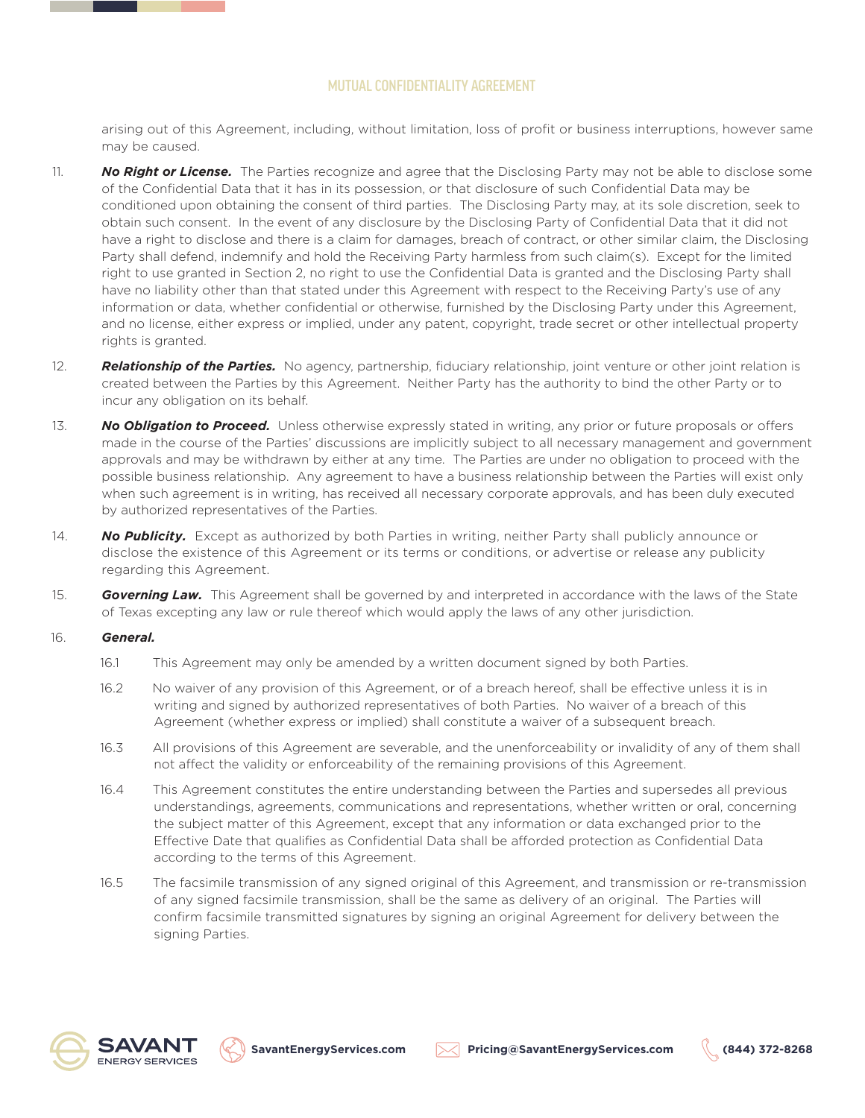arising out of this Agreement, including, without limitation, loss of profit or business interruptions, however same may be caused.

- 11. *No Right or License.* The Parties recognize and agree that the Disclosing Party may not be able to disclose some of the Confidential Data that it has in its possession, or that disclosure of such Confidential Data may be conditioned upon obtaining the consent of third parties. The Disclosing Party may, at its sole discretion, seek to obtain such consent. In the event of any disclosure by the Disclosing Party of Confidential Data that it did not have a right to disclose and there is a claim for damages, breach of contract, or other similar claim, the Disclosing Party shall defend, indemnify and hold the Receiving Party harmless from such claim(s). Except for the limited right to use granted in Section 2, no right to use the Confidential Data is granted and the Disclosing Party shall have no liability other than that stated under this Agreement with respect to the Receiving Party's use of any information or data, whether confidential or otherwise, furnished by the Disclosing Party under this Agreement, and no license, either express or implied, under any patent, copyright, trade secret or other intellectual property rights is granted.
- 12. *Relationship of the Parties.* No agency, partnership, fiduciary relationship, joint venture or other joint relation is created between the Parties by this Agreement. Neither Party has the authority to bind the other Party or to incur any obligation on its behalf.
- 13. **No Obligation to Proceed.** Unless otherwise expressly stated in writing, any prior or future proposals or offers made in the course of the Parties' discussions are implicitly subject to all necessary management and government approvals and may be withdrawn by either at any time. The Parties are under no obligation to proceed with the possible business relationship. Any agreement to have a business relationship between the Parties will exist only when such agreement is in writing, has received all necessary corporate approvals, and has been duly executed by authorized representatives of the Parties.
- 14. *No Publicity.* Except as authorized by both Parties in writing, neither Party shall publicly announce or disclose the existence of this Agreement or its terms or conditions, or advertise or release any publicity regarding this Agreement.
- 15. *Governing Law.* This Agreement shall be governed by and interpreted in accordance with the laws of the State of Texas excepting any law or rule thereof which would apply the laws of any other jurisdiction.

### 16. *General.*

- 16.1 This Agreement may only be amended by a written document signed by both Parties.
- 16.2 No waiver of any provision of this Agreement, or of a breach hereof, shall be effective unless it is in writing and signed by authorized representatives of both Parties. No waiver of a breach of this Agreement (whether express or implied) shall constitute a waiver of a subsequent breach.
- 16.3 All provisions of this Agreement are severable, and the unenforceability or invalidity of any of them shall not affect the validity or enforceability of the remaining provisions of this Agreement.
- 16.4 This Agreement constitutes the entire understanding between the Parties and supersedes all previous understandings, agreements, communications and representations, whether written or oral, concerning the subject matter of this Agreement, except that any information or data exchanged prior to the Effective Date that qualifies as Confidential Data shall be afforded protection as Confidential Data according to the terms of this Agreement.
- 16.5 The facsimile transmission of any signed original of this Agreement, and transmission or re-transmission of any signed facsimile transmission, shall be the same as delivery of an original. The Parties will confirm facsimile transmitted signatures by signing an original Agreement for delivery between the signing Parties.